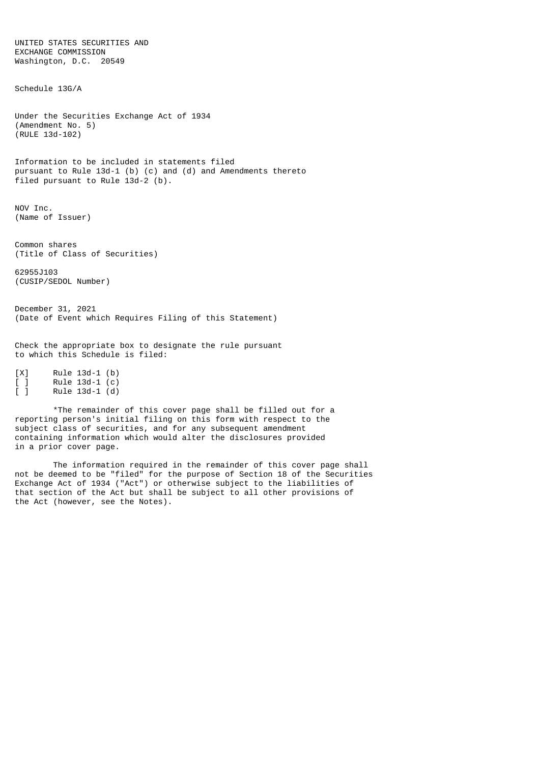UNITED STATES SECURITIES AND EXCHANGE COMMISSION Washington, D.C. 20549

Schedule 13G/A

Under the Securities Exchange Act of 1934 (Amendment No. 5) (RULE 13d-102)

Information to be included in statements filed pursuant to Rule 13d-1 (b) (c) and (d) and Amendments thereto filed pursuant to Rule 13d-2 (b).

NOV Inc. (Name of Issuer)

Common shares (Title of Class of Securities)

62955J103 (CUSIP/SEDOL Number)

December 31, 2021 (Date of Event which Requires Filing of this Statement)

Check the appropriate box to designate the rule pursuant to which this Schedule is filed:

[X] Rule 13d-1 (b)<br>[ ] Rule 13d-1 (c)<br>[ ] Rule 13d-1 (d) [ ] Rule 13d-1 (c) [ ] Rule 13d-1 (d)

\*The remainder of this cover page shall be filled out for a reporting person's initial filing on this form with respect to the subject class of securities, and for any subsequent amendment containing information which would alter the disclosures provided in a prior cover page.

The information required in the remainder of this cover page shall not be deemed to be "filed" for the purpose of Section 18 of the Securities Exchange Act of 1934 ("Act") or otherwise subject to the liabilities of that section of the Act but shall be subject to all other provisions of the Act (however, see the Notes).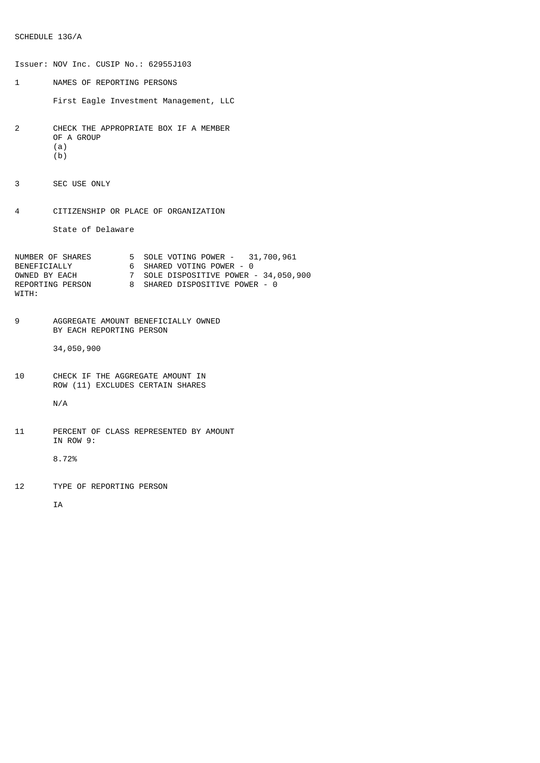```
Issuer: NOV Inc. CUSIP No.: 62955J103
1 NAMES OF REPORTING PERSONS
       First Eagle Investment Management, LLC
2 CHECK THE APPROPRIATE BOX IF A MEMBER
       OF A GROUP
       (a)
       (b)
3 SEC USE ONLY
4 CITIZENSHIP OR PLACE OF ORGANIZATION
       State of Delaware
NUMBER OF SHARES 5 SOLE VOTING POWER - 31,700,961
BENEFICIALLY 6 SHARED VOTING POWER - 0
OWNED BY EACH 7 SOLE DISPOSITIVE POWER - 34,050,900
REPORTING PERSON 8 SHARED DISPOSITIVE POWER - 0
WITH:
9 AGGREGATE AMOUNT BENEFICIALLY OWNED
       BY EACH REPORTING PERSON
       34,050,900
10 CHECK IF THE AGGREGATE AMOUNT IN
       ROW (11) EXCLUDES CERTAIN SHARES
       N/A
11 PERCENT OF CLASS REPRESENTED BY AMOUNT
        IN ROW 9:
        8.72%
12 TYPE OF REPORTING PERSON
```
IA

SCHEDULE 13G/A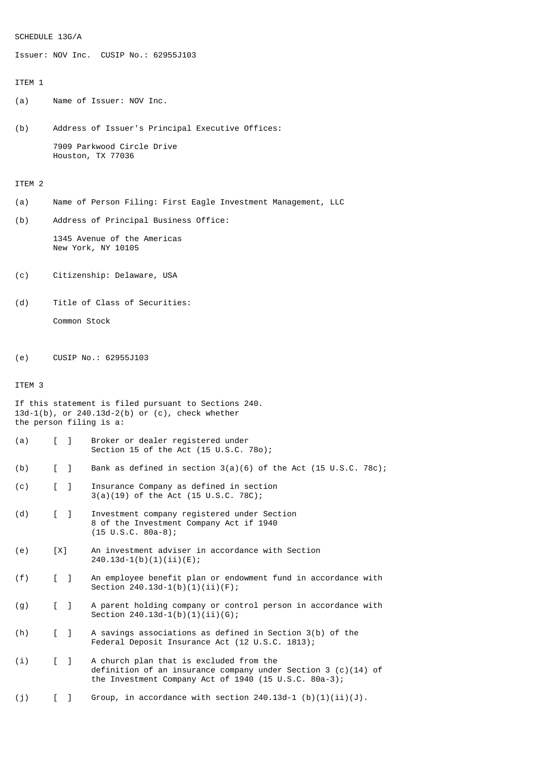### SCHEDULE 13G/A

Issuer: NOV Inc. CUSIP No.: 62955J103

# ITEM 1

(a) Name of Issuer: NOV Inc.

(b) Address of Issuer's Principal Executive Offices: 7909 Parkwood Circle Drive Houston, TX 77036

### ITEM 2

- (a) Name of Person Filing: First Eagle Investment Management, LLC
- (b) Address of Principal Business Office:

1345 Avenue of the Americas New York, NY 10105

- (c) Citizenship: Delaware, USA
- (d) Title of Class of Securities: Common Stock
- (e) CUSIP No.: 62955J103

## ITEM 3

```
If this statement is filed pursuant to Sections 240.
13d-1(b), or 240.13d-2(b) or (c), check whether
the person filing is a:
```
- (a) [ ] Broker or dealer registered under Section 15 of the Act (15 U.S.C. 78o);
- (b) [ ] Bank as defined in section 3(a)(6) of the Act (15 U.S.C. 78c);
- (c) [ ] Insurance Company as defined in section 3(a)(19) of the Act (15 U.S.C. 78C);
- (d) [ ] Investment company registered under Section 8 of the Investment Company Act if 1940 (15 U.S.C. 80a-8);
- (e) [X] An investment adviser in accordance with Section 240.13d-1(b)(1)(ii)(E);
- (f) [ ] An employee benefit plan or endowment fund in accordance with Section 240.13d-1(b)(1)(ii)(F);
- (g) [ ] A parent holding company or control person in accordance with Section 240.13d-1(b)(1)(ii)(G);
- (h) [ ] A savings associations as defined in Section 3(b) of the Federal Deposit Insurance Act (12 U.S.C. 1813);
- (i) [ ] A church plan that is excluded from the definition of an insurance company under Section 3 (c)(14) of the Investment Company Act of 1940 (15 U.S.C. 80a-3);
- (j)  $\left[\begin{array}{cc} 1 \\ \end{array}\right]$  Group, in accordance with section 240.13d-1 (b)(1)(ii)(J).